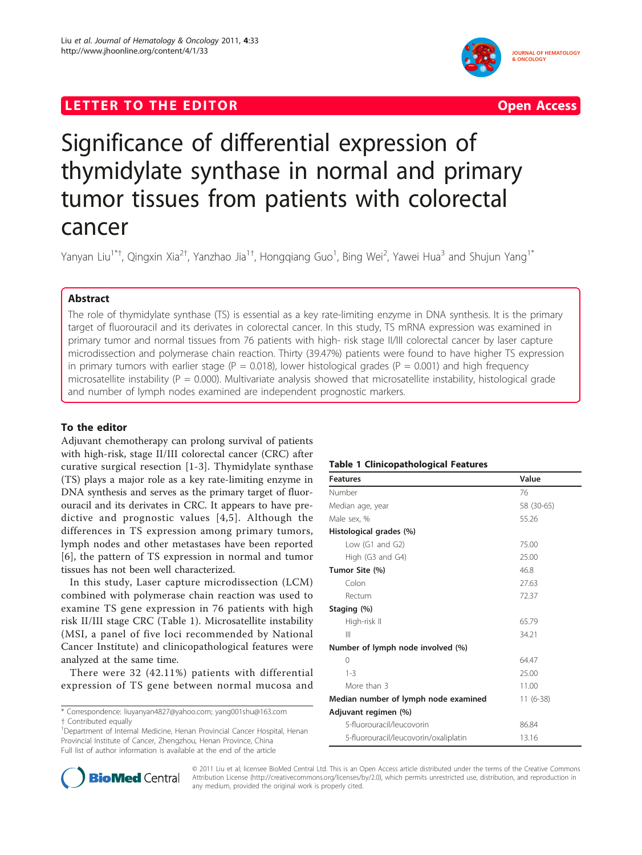## LETTER TO THE EDITOR **CONSIDERATION** CONSIDERING THE STATE AND THE STATE ASSAULT ASSAULT ASSAULT AS A CONSIDERATION





# Significance of differential expression of thymidylate synthase in normal and primary tumor tissues from patients with colorectal cancer

Yanyan Liu<sup>1\*†</sup>, Qingxin Xia<sup>2†</sup>, Yanzhao Jia<sup>1†</sup>, Hongqiang Guo<sup>1</sup>, Bing Wei<sup>2</sup>, Yawei Hua<sup>3</sup> and Shujun Yang<sup>1\*</sup>

## Abstract

The role of thymidylate synthase (TS) is essential as a key rate-limiting enzyme in DNA synthesis. It is the primary target of fluorouracil and its derivates in colorectal cancer. In this study, TS mRNA expression was examined in primary tumor and normal tissues from 76 patients with high- risk stage II/III colorectal cancer by laser capture microdissection and polymerase chain reaction. Thirty (39.47%) patients were found to have higher TS expression in primary tumors with earlier stage ( $P = 0.018$ ), lower histological grades ( $P = 0.001$ ) and high frequency microsatellite instability ( $P = 0.000$ ). Multivariate analysis showed that microsatellite instability, histological grade and number of lymph nodes examined are independent prognostic markers.

## To the editor

Adjuvant chemotherapy can prolong survival of patients with high-risk, stage II/III colorectal cancer (CRC) after curative surgical resection [\[1](#page-1-0)-[3](#page-1-0)]. Thymidylate synthase (TS) plays a major role as a key rate-limiting enzyme in DNA synthesis and serves as the primary target of fluorouracil and its derivates in CRC. It appears to have predictive and prognostic values [[4](#page-1-0),[5](#page-1-0)]. Although the differences in TS expression among primary tumors, lymph nodes and other metastases have been reported [[6](#page-1-0)], the pattern of TS expression in normal and tumor tissues has not been well characterized.

In this study, Laser capture microdissection (LCM) combined with polymerase chain reaction was used to examine TS gene expression in 76 patients with high risk II/III stage CRC (Table 1). Microsatellite instability (MSI, a panel of five loci recommended by National Cancer Institute) and clinicopathological features were analyzed at the same time.

There were 32 (42.11%) patients with differential expression of TS gene between normal mucosa and

\* Correspondence: [liuyanyan4827@yahoo.com;](mailto:liuyanyan4827@yahoo.com) [yang001shu@163.com](mailto:yang001shu@163.com)

† Contributed equally <sup>1</sup>

<sup>1</sup>Department of Internal Medicine, Henan Provincial Cancer Hospital, Henan Provincial Institute of Cancer, Zhengzhou, Henan Province, China Full list of author information is available at the end of the article

### Table 1 Clinicopathological Features

| <b>Features</b>                       | Value      |
|---------------------------------------|------------|
| Number                                | 76         |
| Median age, year                      | 58 (30-65) |
| Male sex, %                           | 55.26      |
| Histological grades (%)               |            |
| Low (G1 and G2)                       | 75.00      |
| High (G3 and G4)                      | 25.00      |
| Tumor Site (%)                        | 46.8       |
| Colon                                 | 27.63      |
| Rectum                                | 72.37      |
| Staging (%)                           |            |
| High-risk II                          | 65.79      |
| $\mathbb{H}$                          | 34.21      |
| Number of lymph node involved (%)     |            |
| 0                                     | 64.47      |
| $1 - 3$                               | 25.00      |
| More than 3                           | 11.00      |
| Median number of lymph node examined  | $11(6-38)$ |
| Adjuvant regimen (%)                  |            |
| 5-fluorouracil/leucovorin             | 86.84      |
| 5-fluorouracil/leucovorin/oxaliplatin | 13.16      |



© 2011 Liu et al; licensee BioMed Central Ltd. This is an Open Access article distributed under the terms of the Creative Commons Attribution License [\(http://creativecommons.org/licenses/by/2.0](http://creativecommons.org/licenses/by/2.0)), which permits unrestricted use, distribution, and reproduction in any medium, provided the original work is properly cited.